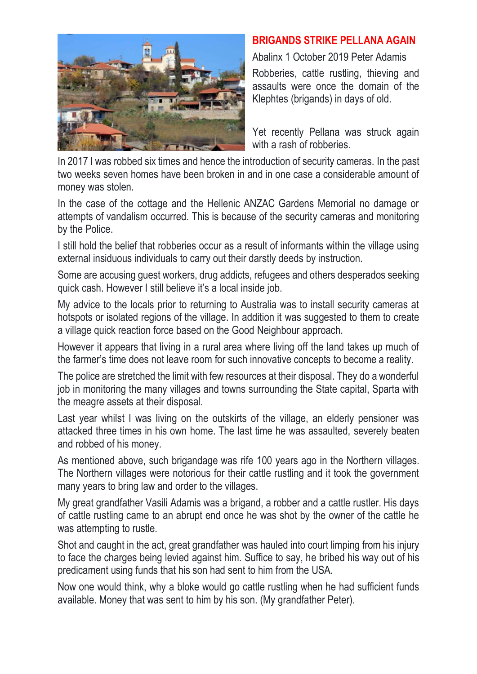

## **BRIGANDS STRIKE PELLANA AGAIN**

Abalinx 1 October 2019 Peter Adamis

Robberies, cattle rustling, thieving and assaults were once the domain of the Klephtes (brigands) in days of old.

Yet recently Pellana was struck again with a rash of robberies.

In 2017 I was robbed six times and hence the introduction of security cameras. In the past two weeks seven homes have been broken in and in one case a considerable amount of money was stolen.

In the case of the cottage and the Hellenic ANZAC Gardens Memorial no damage or attempts of vandalism occurred. This is because of the security cameras and monitoring by the Police.

I still hold the belief that robberies occur as a result of informants within the village using external insiduous individuals to carry out their darstly deeds by instruction.

Some are accusing guest workers, drug addicts, refugees and others desperados seeking quick cash. However I still believe it's a local inside job.

My advice to the locals prior to returning to Australia was to install security cameras at hotspots or isolated regions of the village. In addition it was suggested to them to create a village quick reaction force based on the Good Neighbour approach.

However it appears that living in a rural area where living off the land takes up much of the farmer's time does not leave room for such innovative concepts to become a reality.

The police are stretched the limit with few resources at their disposal. They do a wonderful job in monitoring the many villages and towns surrounding the State capital, Sparta with the meagre assets at their disposal.

Last year whilst I was living on the outskirts of the village, an elderly pensioner was attacked three times in his own home. The last time he was assaulted, severely beaten and robbed of his money.

As mentioned above, such brigandage was rife 100 years ago in the Northern villages. The Northern villages were notorious for their cattle rustling and it took the government many years to bring law and order to the villages.

My great grandfather Vasili Adamis was a brigand, a robber and a cattle rustler. His days of cattle rustling came to an abrupt end once he was shot by the owner of the cattle he was attempting to rustle.

Shot and caught in the act, great grandfather was hauled into court limping from his injury to face the charges being levied against him. Suffice to say, he bribed his way out of his predicament using funds that his son had sent to him from the USA.

Now one would think, why a bloke would go cattle rustling when he had sufficient funds available. Money that was sent to him by his son. (My grandfather Peter).